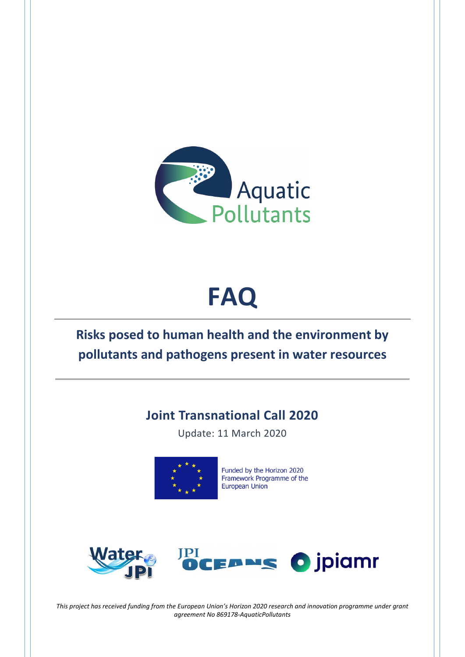

# **FAQ**

# **Risks posed to human health and the environment by pollutants and pathogens present in water resources**

# **Joint Transnational Call 2020**

Update: 11 March 2020



Funded by the Horizon 2020 Framework Programme of the **European Union** 



*This project has received funding from the European Union's Horizon 2020 research and innovation programme under grant agreement No 869178-AquaticPollutants*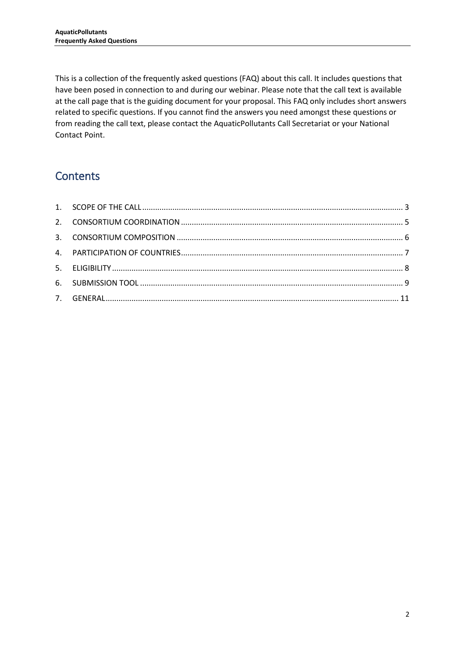This is a collection of the frequently asked questions (FAQ) about this call. It includes questions that have been posed in connection to and during our webinar. Please note that the call text is available at the call page that is the guiding document for your proposal. This FAQ only includes short answers related to specific questions. If you cannot find the answers you need amongst these questions or from reading the call text, please contact the AquaticPollutants Call Secretariat or your National Contact Point.

# **Contents**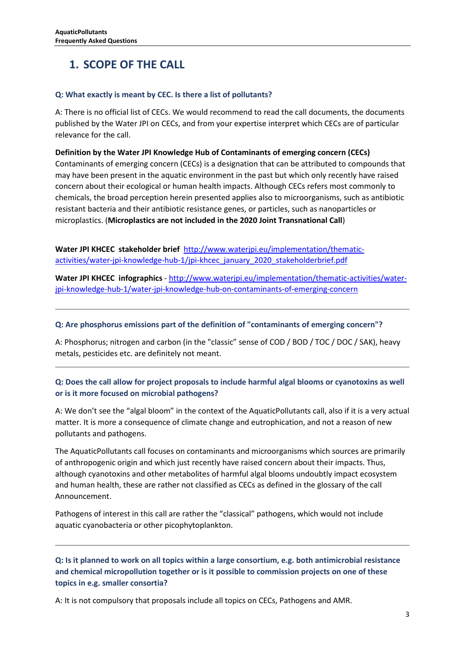# <span id="page-2-0"></span>**1. SCOPE OF THE CALL**

#### **Q: What exactly is meant by CEC. Is there a list of pollutants?**

A: There is no official list of CECs. We would recommend to read the call documents, the documents published by the Water JPI on CECs, and from your expertise interpret which CECs are of particular relevance for the call.

**Definition by the Water JPI Knowledge Hub of Contaminants of emerging concern (CECs)**  Contaminants of emerging concern (CECs) is a designation that can be attributed to compounds that may have been present in the aquatic environment in the past but which only recently have raised concern about their ecological or human health impacts. Although CECs refers most commonly to chemicals, the broad perception herein presented applies also to microorganisms, such as antibiotic resistant bacteria and their antibiotic resistance genes, or particles, such as nanoparticles or microplastics. (**Microplastics are not included in the 2020 Joint Transnational Call**)

**Water JPI KHCEC stakeholder brief** [http://www.waterjpi.eu/implementation/thematic](http://www.waterjpi.eu/implementation/thematic-activities/water-jpi-knowledge-hub-1/jpi-khcec_january_2020_stakeholderbrief.pdf)[activities/water-jpi-knowledge-hub-1/jpi-khcec\\_january\\_2020\\_stakeholderbrief.pdf](http://www.waterjpi.eu/implementation/thematic-activities/water-jpi-knowledge-hub-1/jpi-khcec_january_2020_stakeholderbrief.pdf)

**Water JPI KHCEC infographics** - [http://www.waterjpi.eu/implementation/thematic-activities/water](http://www.waterjpi.eu/implementation/thematic-activities/water-jpi-knowledge-hub-1/water-jpi-knowledge-hub-on-contaminants-of-emerging-concern)[jpi-knowledge-hub-1/water-jpi-knowledge-hub-on-contaminants-of-emerging-concern](http://www.waterjpi.eu/implementation/thematic-activities/water-jpi-knowledge-hub-1/water-jpi-knowledge-hub-on-contaminants-of-emerging-concern)

#### **Q: Are phosphorus emissions part of the definition of "contaminants of emerging concern"?**

A: Phosphorus; nitrogen and carbon (in the "classic" sense of COD / BOD / TOC / DOC / SAK), heavy metals, pesticides etc. are definitely not meant.

#### **Q: Does the call allow for project proposals to include harmful algal blooms or cyanotoxins as well or is it more focused on microbial pathogens?**

A: We don't see the "algal bloom" in the context of the AquaticPollutants call, also if it is a very actual matter. It is more a consequence of climate change and eutrophication, and not a reason of new pollutants and pathogens.

The AquaticPollutants call focuses on contaminants and microorganisms which sources are primarily of anthropogenic origin and which just recently have raised concern about their impacts. Thus, although cyanotoxins and other metabolites of harmful algal blooms undoubtly impact ecosystem and human health, these are rather not classified as CECs as defined in the glossary of the call Announcement.

Pathogens of interest in this call are rather the "classical" pathogens, which would not include aquatic cyanobacteria or other picophytoplankton.

**Q: Is it planned to work on all topics within a large consortium, e.g. both antimicrobial resistance and chemical micropollution together or is it possible to commission projects on one of these topics in e.g. smaller consortia?**

A: It is not compulsory that proposals include all topics on CECs, Pathogens and AMR.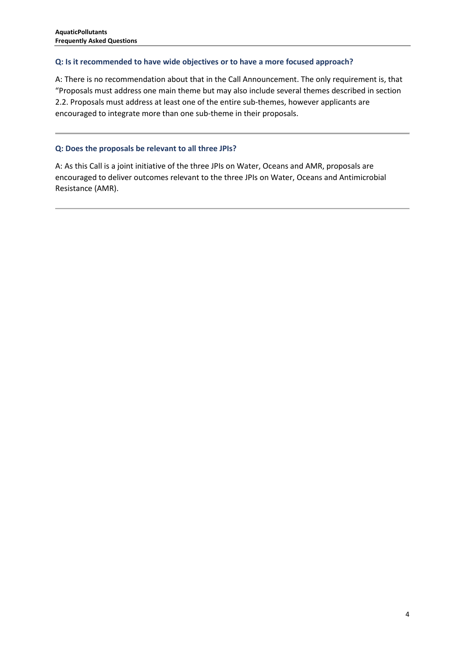#### **Q: Is it recommended to have wide objectives or to have a more focused approach?**

A: There is no recommendation about that in the Call Announcement. The only requirement is, that "Proposals must address one main theme but may also include several themes described in section 2.2. Proposals must address at least one of the entire sub-themes, however applicants are encouraged to integrate more than one sub-theme in their proposals.

#### **Q: Does the proposals be relevant to all three JPIs?**

A: As this Call is a joint initiative of the three JPIs on Water, Oceans and AMR, proposals are encouraged to deliver outcomes relevant to the three JPIs on Water, Oceans and Antimicrobial Resistance (AMR).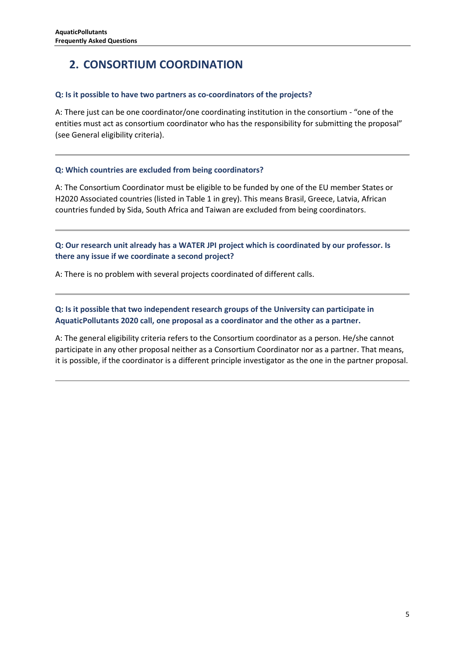# <span id="page-4-0"></span>**2. CONSORTIUM COORDINATION**

#### **Q: Is it possible to have two partners as co-coordinators of the projects?**

A: There just can be one coordinator/one coordinating institution in the consortium - "one of the entities must act as consortium coordinator who has the responsibility for submitting the proposal" (see General eligibility criteria).

#### **Q: Which countries are excluded from being coordinators?**

A: The Consortium Coordinator must be eligible to be funded by one of the EU member States or H2020 Associated countries (listed in Table 1 in grey). This means Brasil, Greece, Latvia, African countries funded by Sida, South Africa and Taiwan are excluded from being coordinators.

**Q: Our research unit already has a WATER JPI project which is coordinated by our professor. Is there any issue if we coordinate a second project?**

A: There is no problem with several projects coordinated of different calls.

**Q: Is it possible that two independent research groups of the University can participate in AquaticPollutants 2020 call, one proposal as a coordinator and the other as a partner.**

A: The general eligibility criteria refers to the Consortium coordinator as a person. He/she cannot participate in any other proposal neither as a Consortium Coordinator nor as a partner. That means, it is possible, if the coordinator is a different principle investigator as the one in the partner proposal.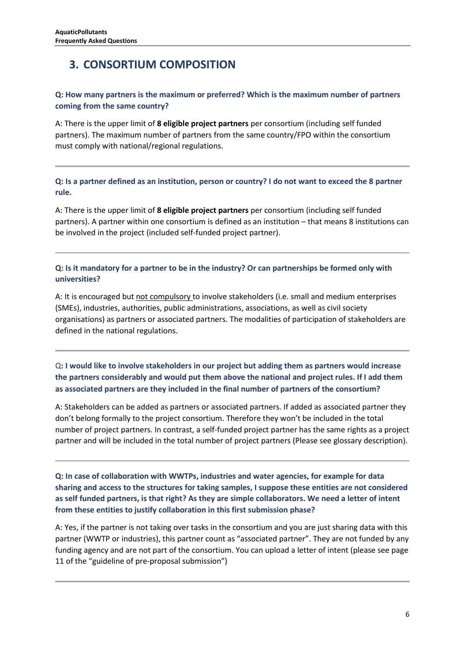## <span id="page-5-0"></span>**3. CONSORTIUM COMPOSITION**

#### **Q: How many partners is the maximum or preferred? Which is the maximum number of partners coming from the same country?**

A: There is the upper limit of **8 eligible project partners** per consortium (including self funded partners). The maximum number of partners from the same country/FPO within the consortium must comply with national/regional regulations.

**Q: Is a partner defined as an institution, person or country? I do not want to exceed the 8 partner rule.** 

A: There is the upper limit of **8 eligible project partners** per consortium (including self funded partners). A partner within one consortium is defined as an institution – that means 8 institutions can be involved in the project (included self-funded project partner).

#### **Q: Is it mandatory for a partner to be in the industry? Or can partnerships be formed only with universities?**

A: It is encouraged but not compulsory to involve stakeholders (i.e. small and medium enterprises (SMEs), industries, authorities, public administrations, associations, as well as civil society organisations) as partners or associated partners. The modalities of participation of stakeholders are defined in the national regulations.

Q**: I would like to involve stakeholders in our project but adding them as partners would increase the partners considerably and would put them above the national and project rules. If I add them as associated partners are they included in the final number of partners of the consortium?**

A: Stakeholders can be added as partners or associated partners. If added as associated partner they don't belong formally to the project consortium. Therefore they won't be included in the total number of project partners. In contrast, a self-funded project partner has the same rights as a project partner and will be included in the total number of project partners (Please see glossary description).

**Q: In case of collaboration with WWTPs, industries and water agencies, for example for data sharing and access to the structures for taking samples, I suppose these entities are not considered as self funded partners, is that right? As they are simple collaborators. We need a letter of intent from these entities to justify collaboration in this first submission phase?**

A: Yes, if the partner is not taking over tasks in the consortium and you are just sharing data with this partner (WWTP or industries), this partner count as "associated partner". They are not funded by any funding agency and are not part of the consortium. You can upload a letter of intent (please see page 11 of the "guideline of pre-proposal submission")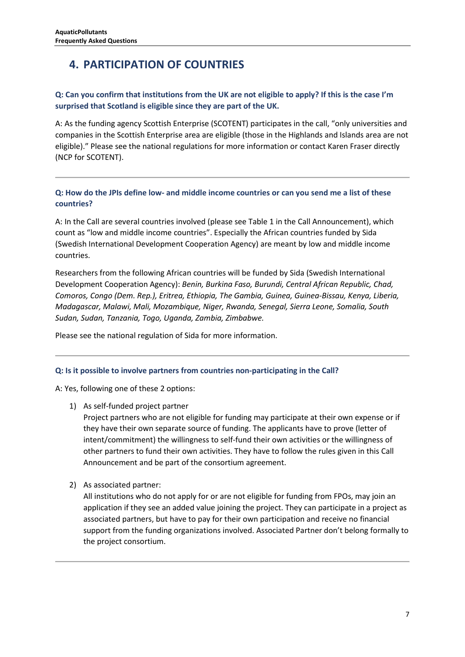# <span id="page-6-0"></span>**4. PARTICIPATION OF COUNTRIES**

#### **Q: Can you confirm that institutions from the UK are not eligible to apply? If this is the case I'm surprised that Scotland is eligible since they are part of the UK.**

A: As the funding agency Scottish Enterprise (SCOTENT) participates in the call, "only universities and companies in the Scottish Enterprise area are eligible (those in the Highlands and Islands area are not eligible)." Please see the national regulations for more information or contact Karen Fraser directly (NCP for SCOTENT).

**Q: How do the JPIs define low- and middle income countries or can you send me a list of these countries?**

A: In the Call are several countries involved (please see Table 1 in the Call Announcement), which count as "low and middle income countries". Especially the African countries funded by Sida (Swedish International Development Cooperation Agency) are meant by low and middle income countries.

Researchers from the following African countries will be funded by Sida (Swedish International Development Cooperation Agency): *Benin, Burkina Faso, Burundi, Central African Republic, Chad, Comoros, Congo (Dem. Rep.), Eritrea, Ethiopia, The Gambia, Guinea, Guinea-Bissau, Kenya, Liberia, Madagascar, Malawi, Mali, Mozambique, Niger, Rwanda, Senegal, Sierra Leone, Somalia, South Sudan, Sudan, Tanzania, Togo, Uganda, Zambia, Zimbabwe.*

Please see the national regulation of Sida for more information.

#### **Q: Is it possible to involve partners from countries non-participating in the Call?**

A: Yes, following one of these 2 options:

1) As self-funded project partner

Project partners who are not eligible for funding may participate at their own expense or if they have their own separate source of funding. The applicants have to prove (letter of intent/commitment) the willingness to self-fund their own activities or the willingness of other partners to fund their own activities. They have to follow the rules given in this Call Announcement and be part of the consortium agreement.

2) As associated partner:

All institutions who do not apply for or are not eligible for funding from FPOs, may join an application if they see an added value joining the project. They can participate in a project as associated partners, but have to pay for their own participation and receive no financial support from the funding organizations involved. Associated Partner don't belong formally to the project consortium.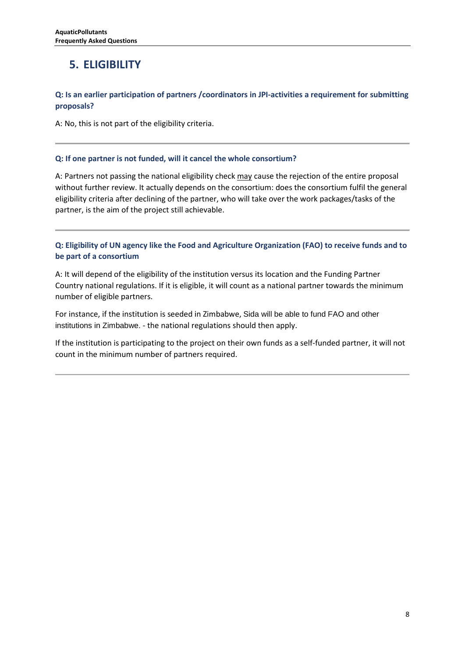# <span id="page-7-0"></span>**5. ELIGIBILITY**

#### **Q: Is an earlier participation of partners /coordinators in JPI-activities a requirement for submitting proposals?**

A: No, this is not part of the eligibility criteria.

#### **Q: If one partner is not funded, will it cancel the whole consortium?**

A: Partners not passing the national eligibility check may cause the rejection of the entire proposal without further review. It actually depends on the consortium: does the consortium fulfil the general eligibility criteria after declining of the partner, who will take over the work packages/tasks of the partner, is the aim of the project still achievable.

**Q: Eligibility of UN agency like the Food and Agriculture Organization (FAO) to receive funds and to be part of a consortium**

A: It will depend of the eligibility of the institution versus its location and the Funding Partner Country national regulations. If it is eligible, it will count as a national partner towards the minimum number of eligible partners.

For instance, if the institution is seeded in Zimbabwe, Sida will be able to fund FAO and other institutions in Zimbabwe. - the national regulations should then apply.

If the institution is participating to the project on their own funds as a self-funded partner, it will not count in the minimum number of partners required.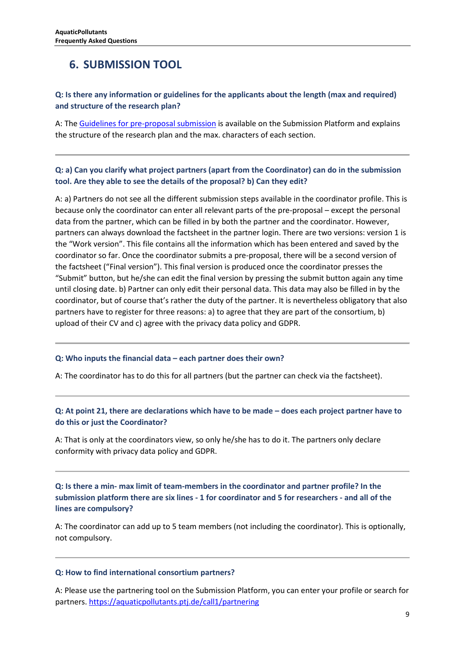### <span id="page-8-0"></span>**6. SUBMISSION TOOL**

#### **Q: Is there any information or guidelines for the applicants about the length (max and required) and structure of the research plan?**

A: Th[e Guidelines for pre-proposal submission](https://aquaticpollutants.ptj.de/call1?genericModule=callDocuments&action=download&id=237) is available on the Submission Platform and explains the structure of the research plan and the max. characters of each section.

#### **Q: a) Can you clarify what project partners (apart from the Coordinator) can do in the submission tool. Are they able to see the details of the proposal? b) Can they edit?**

A: a) Partners do not see all the different submission steps available in the coordinator profile. This is because only the coordinator can enter all relevant parts of the pre-proposal – except the personal data from the partner, which can be filled in by both the partner and the coordinator. However, partners can always download the factsheet in the partner login. There are two versions: version 1 is the "Work version". This file contains all the information which has been entered and saved by the coordinator so far. Once the coordinator submits a pre-proposal, there will be a second version of the factsheet ("Final version"). This final version is produced once the coordinator presses the "Submit" button, but he/she can edit the final version by pressing the submit button again any time until closing date. b) Partner can only edit their personal data. This data may also be filled in by the coordinator, but of course that's rather the duty of the partner. It is nevertheless obligatory that also partners have to register for three reasons: a) to agree that they are part of the consortium, b) upload of their CV and c) agree with the privacy data policy and GDPR.

#### **Q: Who inputs the financial data – each partner does their own?**

A: The coordinator has to do this for all partners (but the partner can check via the factsheet).

#### **Q: At point 21, there are declarations which have to be made – does each project partner have to do this or just the Coordinator?**

A: That is only at the coordinators view, so only he/she has to do it. The partners only declare conformity with privacy data policy and GDPR.

**Q: Is there a min- max limit of team-members in the coordinator and partner profile? In the submission platform there are six lines - 1 for coordinator and 5 for researchers - and all of the lines are compulsory?**

A: The coordinator can add up to 5 team members (not including the coordinator). This is optionally, not compulsory.

#### **Q: How to find international consortium partners?**

A: Please use the partnering tool on th[e Submission Platform,](https://aquaticpollutants.ptj.de/call1/partnering) you can enter your profile or search for partners. <https://aquaticpollutants.ptj.de/call1/partnering>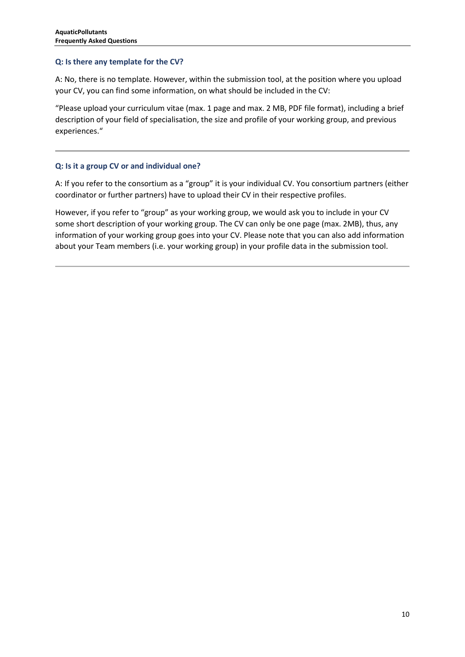#### **Q: Is there any template for the CV?**

A: No, there is no template. However, within the submission tool, at the position where you upload your CV, you can find some information, on what should be included in the CV:

"Please upload your curriculum vitae (max. 1 page and max. 2 MB, PDF file format), including a brief description of your field of specialisation, the size and profile of your working group, and previous experiences."

#### **Q: Is it a group CV or and individual one?**

A: If you refer to the consortium as a "group" it is your individual CV. You consortium partners (either coordinator or further partners) have to upload their CV in their respective profiles.

However, if you refer to "group" as your working group, we would ask you to include in your CV some short description of your working group. The CV can only be one page (max. 2MB), thus, any information of your working group goes into your CV. Please note that you can also add information about your Team members (i.e. your working group) in your profile data in the submission tool.